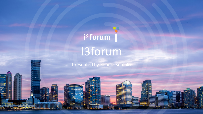# i<sup>3</sup> forum 13forum

Presented by Robert Benlolo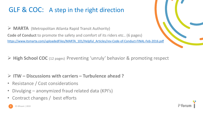### GLF & COC: A step in the right direction

Ø **MARTA** (Metropolitan Atlanta Rapid Transit Authority) **Code of Conduct** to promote the safety and comfort of its riders etc.. (6 pages) [https://www.itsmarta.com/uploadedFiles/MARTA\\_101/Helpful\\_Articles/rev-Code-of-Conduct-FINAL-Feb-2016.pdf](https://www.itsmarta.com/uploadedFiles/MARTA_101/Helpful_Articles/rev-Code-of-Conduct-FINAL-Feb-2016.pdf)

Ø **High School COC** (12 pages) Preventing 'unruly' behavior & promoting respect

- Ø **ITW – Discussions with carriers – Turbulence ahead ?**
- Resistance / Cost considerations
- Divulging anonymized fraud related data (KPI's)
- Contract changes / best efforts

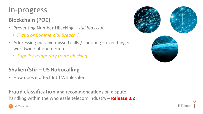## In-progress

#### **Blockchain (POC)**

- Preventing Number Hijacking *still big issue*
	- *Fraud or Commercial Breach ?*
- Addressing massive missed calls / spoofing even bigger worldwide phenomenon
	- *Supplier temporary route blocking*

#### **Shaken/Stir – US Robocalling**

• How does it affect Int'l Wholesalers

**Fraud classification** and recommendations on dispute handling within the wholesale telecom industry **– Release 3.2**



i<sup>3</sup> forum

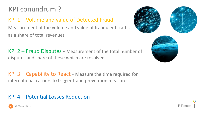## KPI conundrum ?

#### KPI 1 – Volume and value of Detected Fraud

Measurement of the volume and value of fraudulent traffic as a share of total revenues

KPI 2 – Fraud Disputes - Measurement of the total number of disputes and share of these which are resolved

KPI 3 – Capability to React - Measure the time required for international carriers to trigger fraud prevention measures

#### KPI 4 – Potential Losses Reduction







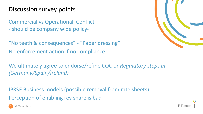#### Discussion survey points

Commercial vs Operational Conflict - should be company wide policy-

"No teeth & consequences" - "Paper dressing" No enforcement action if no compliance.

We ultimately agree to endorse/refine COC or *Regulatory steps in (Germany/Spain/Ireland)*

IPRSF Business models (possible removal from rate sheets) Perception of enabling rev share is bad